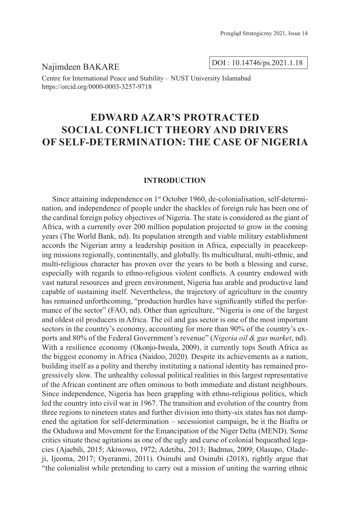Najimdeen BAKARE

DOI : 10.14746/ps.2021.1.18

Centre for International Peace and Stability – NUST University Islamabad https://orcid.org/0000-0003-3257-9718

# **EDWARD AZAR'S PROTRACTED SOCIAL CONFLICT THEORY AND DRIVERS OF SELF-DETERMINATION: THE CASE OF NIGERIA**

#### **INTRODUCTION**

Since attaining independence on 1<sup>st</sup> October 1960, de-colonialisation, self-determination, and independence of people under the shackles of foreign rule has been one of the cardinal foreign policy objectives of Nigeria. The state is considered as the giant of Africa, with a currently over 200 million population projected to grow in the coming years (The World Bank, nd). Its population strength and viable military establishment accords the Nigerian army a leadership position in Africa, especially in peacekeeping missions regionally, continentally, and globally. Its multicultural, multi-ethnic, and multi-religious character has proven over the years to be both a blessing and curse, especially with regards to ethno-religious violent conflicts. A country endowed with vast natural resources and green environment, Nigeria has arable and productive land capable of sustaining itself. Nevertheless, the trajectory of agriculture in the country has remained unforthcoming, "production hurdles have significantly stifled the performance of the sector" (FAO, nd). Other than agriculture, "Nigeria is one of the largest and oldest oil producers in Africa. The oil and gas sector is one of the most important sectors in the country's economy, accounting for more than 90% of the country's exports and 80% of the Federal Government's revenue" (*Nigeria oil & gas market*, nd). With a resilience economy (Okonjo-Iweala, 2009), it currently tops South Africa as the biggest economy in Africa (Naidoo, 2020). Despite its achievements as a nation, building itself as a polity and thereby instituting a national identity has remained progressively slow. The unhealthy colossal political realities in this largest representative of the African continent are often ominous to both immediate and distant neighbours. Since independence, Nigeria has been grappling with ethno-religious politics, which led the country into civil war in 1967. The transition and evolution of the country from three regions to nineteen states and further division into thirty-six states has not dampened the agitation for self-determination – secessionist campaign, be it the Biafra or the Oduduwa and Movement for the Emancipation of the Niger Delta (MEND). Some critics situate these agitations as one of the ugly and curse of colonial bequeathed legacies (Ajaebili, 2015; Akiwowo, 1972; Adetiba, 2013; Badmus, 2009; Olasupo, Oladeji, Ijeoma, 2017; Oyeranmi, 2011). Osinubi and Osinubi (2018), rightly argue that "the colonialist while pretending to carry out a mission of uniting the warring ethnic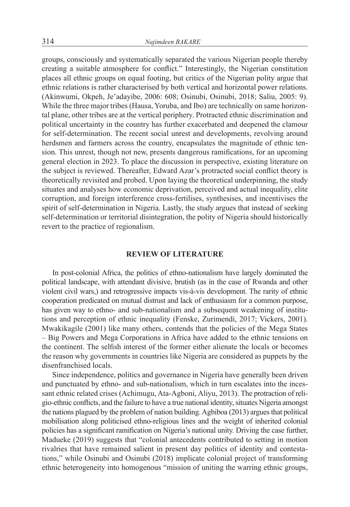groups, consciously and systematically separated the various Nigerian people thereby creating a suitable atmosphere for conflict." Interestingly, the Nigerian constitution places all ethnic groups on equal footing, but critics of the Nigerian polity argue that ethnic relations is rather characterised by both vertical and horizontal power relations. (Akinwumi, Okpeh, Je'adayibe, 2006: 608; Osinubi, Osinubi, 2018; Saliu, 2005: 9). While the three major tribes (Hausa, Yoruba, and Ibo) are technically on same horizontal plane, other tribes are at the vertical periphery. Protracted ethnic discrimination and political uncertainty in the country has further exacerbated and deepened the clamour for self-determination. The recent social unrest and developments, revolving around herdsmen and farmers across the country, encapsulates the magnitude of ethnic tension. This unrest, though not new, presents dangerous ramifications, for an upcoming general election in 2023. To place the discussion in perspective, existing literature on the subject is reviewed. Thereafter, Edward Azar's protracted social conflict theory is theoretically revisited and probed. Upon laying the theoretical underpinning, the study situates and analyses how economic deprivation, perceived and actual inequality, elite corruption, and foreign interference cross-fertilises, synthesises, and incentivises the spirit of self-determination in Nigeria. Lastly, the study argues that instead of seeking self-determination or territorial disintegration, the polity of Nigeria should historically revert to the practice of regionalism.

# **REVIEW OF LITERATURE**

In post-colonial Africa, the politics of ethno-nationalism have largely dominated the political landscape, with attendant divisive, brutish (as in the case of Rwanda and other violent civil wars,) and retrogressive impacts vis-à-vis development. The rarity of ethnic cooperation predicated on mutual distrust and lack of enthusiasm for a common purpose, has given way to ethno- and sub-nationalism and a subsequent weakening of institutions and perception of ethnic inequality (Fenske, Zurimendi, 2017; Vickers, 2001). Mwakikagile (2001) like many others, contends that the policies of the Mega States – Big Powers and Mega Corporations in Africa have added to the ethnic tensions on the continent. The selfish interest of the former either alienate the locals or becomes the reason why governments in countries like Nigeria are considered as puppets by the disenfranchised locals.

Since independence, politics and governance in Nigeria have generally been driven and punctuated by ethno- and sub-nationalism, which in turn escalates into the incessant ethnic related crises (Achimugu, Ata-Agboni, Aliyu, 2013). The protraction of religio-ethnic conflicts, and the failure to have a true national identity, situates Nigeria amongst the nations plagued by the problem of nation building. Agbiboa (2013) argues that political mobilisation along politicised ethno-religious lines and the weight of inherited colonial policies has a significant ramification on Nigeria's national unity. Driving the case further, Madueke (2019) suggests that "colonial antecedents contributed to setting in motion rivalries that have remained salient in present day politics of identity and contestations," while Osinubi and Osinubi (2018) implicate colonial project of transforming ethnic heterogeneity into homogenous "mission of uniting the warring ethnic groups,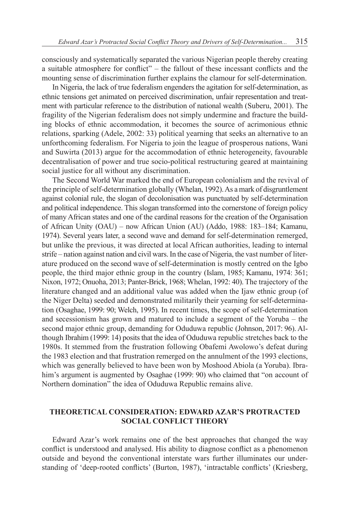consciously and systematically separated the various Nigerian people thereby creating a suitable atmosphere for conflict" – the fallout of these incessant conflicts and the mounting sense of discrimination further explains the clamour for self-determination.

In Nigeria, the lack of true federalism engenders the agitation for self-determination, as ethnic tensions get animated on perceived discrimination, unfair representation and treatment with particular reference to the distribution of national wealth (Suberu, 2001). The fragility of the Nigerian federalism does not simply undermine and fracture the building blocks of ethnic accommodation, it becomes the source of acrimonious ethnic relations, sparking (Adele, 2002: 33) political yearning that seeks an alternative to an unforthcoming federalism. For Nigeria to join the league of prosperous nations, Wani and Suwirta (2013) argue for the accommodation of ethnic heterogeneity, favourable decentralisation of power and true socio-political restructuring geared at maintaining social justice for all without any discrimination.

The Second World War marked the end of European colonialism and the revival of the principle of self-determination globally (Whelan, 1992). As a mark of disgruntlement against colonial rule, the slogan of decolonisation was punctuated by self-determination and political independence. This slogan transformed into the cornerstone of foreign policy of many African states and one of the cardinal reasons for the creation of the Organisation of African Unity (OAU) – now African Union (AU) (Addo, 1988: 183–184; Kamanu, 1974). Several years later, a second wave and demand for self-determination remerged, but unlike the previous, it was directed at local African authorities, leading to internal strife – nation against nation and civil wars. In the case of Nigeria, the vast number of literature produced on the second wave of self-determination is mostly centred on the Igbo people, the third major ethnic group in the country (Islam, 1985; Kamanu, 1974: 361; Nixon, 1972; Onuoha, 2013; Panter-Brick, 1968; Whelan, 1992: 40). The trajectory of the literature changed and an additional value was added when the Ijaw ethnic group (of the Niger Delta) seeded and demonstrated militarily their yearning for self-determination (Osaghae, 1999: 90; Welch, 1995). In recent times, the scope of self-determination and secessionism has grown and matured to include a segment of the Yoruba – the second major ethnic group, demanding for Oduduwa republic (Johnson, 2017: 96). Although Ibrahim (1999: 14) posits that the idea of Oduduwa republic stretches back to the 1980s. It stemmed from the frustration following Obafemi Awolowo's defeat during the 1983 election and that frustration remerged on the annulment of the 1993 elections, which was generally believed to have been won by Moshood Abiola (a Yoruba). Ibrahim's argument is augmented by Osaghae (1999: 90) who claimed that "on account of Northern domination" the idea of Oduduwa Republic remains alive.

# **THEORETICAL CONSIDERATION: EDWARD AZAR'S PROTRACTED SOCIAL CONFLICT THEORY**

Edward Azar's work remains one of the best approaches that changed the way conflict is understood and analysed. His ability to diagnose conflict as a phenomenon outside and beyond the conventional interstate wars further illuminates our understanding of 'deep-rooted conflicts' (Burton, 1987), 'intractable conflicts' (Kriesberg,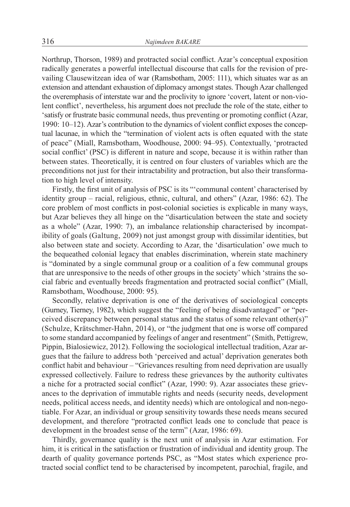Northrup, Thorson, 1989) and protracted social conflict. Azar's conceptual exposition radically generates a powerful intellectual discourse that calls for the revision of prevailing Clausewitzean idea of war (Ramsbotham, 2005: 111), which situates war as an extension and attendant exhaustion of diplomacy amongst states. Though Azar challenged the overemphasis of interstate war and the proclivity to ignore 'covert, latent or non-violent conflict', nevertheless, his argument does not preclude the role of the state, either to 'satisfy or frustrate basic communal needs, thus preventing or promoting conflict (Azar, 1990: 10–12). Azar's contribution to the dynamics of violent conflict exposes the conceptual lacunae, in which the "termination of violent acts is often equated with the state of peace" (Miall, Ramsbotham, Woodhouse, 2000: 94–95). Contextually, 'protracted social conflict' (PSC) is different in nature and scope, because it is within rather than between states. Theoretically, it is centred on four clusters of variables which are the preconditions not just for their intractability and protraction, but also their transformation to high level of intensity.

Firstly, the first unit of analysis of PSC is its "'communal content' characterised by identity group – racial, religious, ethnic, cultural, and others" (Azar, 1986: 62). The core problem of most conflicts in post-colonial societies is explicable in many ways, but Azar believes they all hinge on the "disarticulation between the state and society as a whole" (Azar, 1990: 7), an imbalance relationship characterised by incompatibility of goals (Galtung, 2009) not just amongst group with dissimilar identities, but also between state and society. According to Azar, the 'disarticulation' owe much to the bequeathed colonial legacy that enables discrimination, wherein state machinery is "dominated by a single communal group or a coalition of a few communal groups that are unresponsive to the needs of other groups in the society' which 'strains the social fabric and eventually breeds fragmentation and protracted social conflict" (Miall, Ramsbotham, Woodhouse, 2000: 95).

Secondly, relative deprivation is one of the derivatives of sociological concepts (Gurney, Tierney, 1982), which suggest the "feeling of being disadvantaged" or "perceived discrepancy between personal status and the status of some relevant other(s)" (Schulze, Krätschmer-Hahn, 2014), or "the judgment that one is worse off compared to some standard accompanied by feelings of anger and resentment" (Smith, Pettigrew, Pippin, Bialosiewicz, 2012). Following the sociological intellectual tradition, Azar argues that the failure to address both 'perceived and actual' deprivation generates both conflict habit and behaviour – "Grievances resulting from need deprivation are usually expressed collectively. Failure to redress these grievances by the authority cultivates a niche for a protracted social conflict" (Azar, 1990: 9). Azar associates these grievances to the deprivation of immutable rights and needs (security needs, development needs, political access needs, and identity needs) which are ontological and non-negotiable. For Azar, an individual or group sensitivity towards these needs means secured development, and therefore "protracted conflict leads one to conclude that peace is development in the broadest sense of the term" (Azar, 1986: 69).

Thirdly, governance quality is the next unit of analysis in Azar estimation. For him, it is critical in the satisfaction or frustration of individual and identity group. The dearth of quality governance portends PSC, as "Most states which experience protracted social conflict tend to be characterised by incompetent, parochial, fragile, and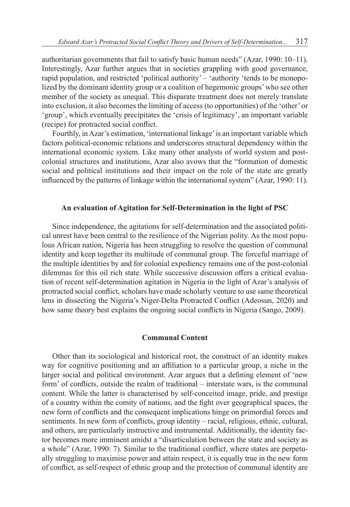authoritarian governments that fail to satisfy basic human needs" (Azar, 1990: 10–11). Interestingly, Azar further argues that in societies grappling with good governance, rapid population, and restricted 'political authority' – 'authority 'tends to be monopolized by the dominant identity group or a coalition of hegemonic groups' who see other member of the society as unequal. This disparate treatment does not merely translate into exclusion, it also becomes the limiting of access (to opportunities) of the 'other' or 'group', which eventually precipitates the 'crisis of legitimacy', an important variable (recipe) for protracted social conflict.

Fourthly, in Azar's estimation, 'international linkage' is an important variable which factors political-economic relations and underscores structural dependency within the international economic system. Like many other analysts of world system and postcolonial structures and institutions, Azar also avows that the "formation of domestic social and political institutions and their impact on the role of the state are greatly influenced by the patterns of linkage within the international system" (Azar, 1990: 11).

## **An evaluation of Agitation for Self-Determination in the light of PSC**

Since independence, the agitations for self-determination and the associated political unrest have been central to the resilience of the Nigerian polity. As the most populous African nation, Nigeria has been struggling to resolve the question of communal identity and keep together its multitude of communal group. The forceful marriage of the multiple identities by and for colonial expediency remains one of the post-colonial dilemmas for this oil rich state. While successive discussion offers a critical evaluation of recent self-determination agitation in Nigeria in the light of Azar's analysis of protracted social conflict, scholars have made scholarly venture to use same theoretical lens in dissecting the Nigeria's Niger-Delta Protracted Conflict (Adeosun, 2020) and how same theory best explains the ongoing social conflicts in Nigeria (Sango, 2009).

## **Communal Content**

Other than its sociological and historical root, the construct of an identity makes way for cognitive positioning and an affiliation to a particular group, a niche in the larger social and political environment. Azar argues that a defining element of 'new form' of conflicts, outside the realm of traditional – interstate wars, is the communal content. While the latter is characterised by self-conceited image, pride, and prestige of a country within the comity of nations, and the fight over geographical spaces, the new form of conflicts and the consequent implications hinge on primordial forces and sentiments. In new form of conflicts, group identity – racial, religious, ethnic, cultural, and others, are particularly instructive and instrumental. Additionally, the identity factor becomes more imminent amidst a "disarticulation between the state and society as a whole" (Azar, 1990: 7). Similar to the traditional conflict, where states are perpetually struggling to maximise power and attain respect, it is equally true in the new form of conflict, as self-respect of ethnic group and the protection of communal identity are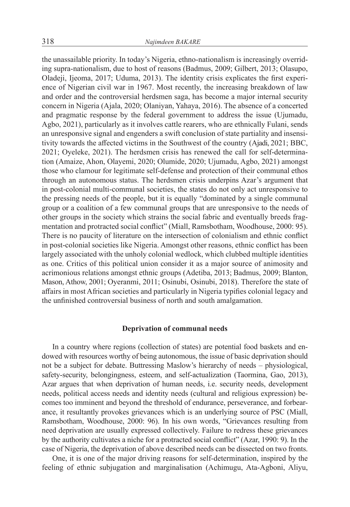the unassailable priority. In today's Nigeria, ethno-nationalism is increasingly overriding supra-nationalism, due to host of reasons (Badmus, 2009; Gilbert, 2013; Olasupo, Oladeji, Ijeoma, 2017; Uduma, 2013). The identity crisis explicates the first experience of Nigerian civil war in 1967. Most recently, the increasing breakdown of law and order and the controversial herdsmen saga, has become a major internal security concern in Nigeria (Ajala, 2020; Olaniyan, Yahaya, 2016). The absence of a concerted and pragmatic response by the federal government to address the issue (Ujumadu, Agbo, 2021), particularly as it involves cattle rearers, who are ethnically Fulani, sends an unresponsive signal and engenders a swift conclusion of state partiality and insensitivity towards the affected victims in the Southwest of the country (Ajadi, 2021; BBC, 2021; Oyeleke, 2021). The herdsmen crisis has renewed the call for self-determination (Amaize, Ahon, Olayemi, 2020; Olumide, 2020; Ujumadu, Agbo, 2021) amongst those who clamour for legitimate self-defense and protection of their communal ethos through an autonomous status. The herdsmen crisis underpins Azar's argument that in post-colonial multi-communal societies, the states do not only act unresponsive to the pressing needs of the people, but it is equally "dominated by a single communal group or a coalition of a few communal groups that are unresponsive to the needs of other groups in the society which strains the social fabric and eventually breeds fragmentation and protracted social conflict" (Miall, Ramsbotham, Woodhouse, 2000: 95). There is no paucity of literature on the intersection of colonialism and ethnic conflict in post-colonial societies like Nigeria. Amongst other reasons, ethnic conflict has been largely associated with the unholy colonial wedlock, which clubbed multiple identities as one. Critics of this political union consider it as a major source of animosity and acrimonious relations amongst ethnic groups (Adetiba, 2013; Badmus, 2009; Blanton, Mason, Athow, 2001; Oyeranmi, 2011; Osinubi, Osinubi, 2018). Therefore the state of affairs in most African societies and particularly in Nigeria typifies colonial legacy and the unfinished controversial business of north and south amalgamation.

#### **Deprivation of communal needs**

In a country where regions (collection of states) are potential food baskets and endowed with resources worthy of being autonomous, the issue of basic deprivation should not be a subject for debate. Buttressing Maslow's hierarchy of needs – physiological, safety-security, belongingness, esteem, and self-actualization (Taormina, Gao, 2013), Azar argues that when deprivation of human needs, i.e. security needs, development needs, political access needs and identity needs (cultural and religious expression) becomes too imminent and beyond the threshold of endurance, perseverance, and forbearance, it resultantly provokes grievances which is an underlying source of PSC (Miall, Ramsbotham, Woodhouse, 2000: 96). In his own words, "Grievances resulting from need deprivation are usually expressed collectively. Failure to redress these grievances by the authority cultivates a niche for a protracted social conflict" (Azar, 1990: 9). In the case of Nigeria, the deprivation of above described needs can be dissected on two fronts.

One, it is one of the major driving reasons for self-determination, inspired by the feeling of ethnic subjugation and marginalisation (Achimugu, Ata-Agboni, Aliyu,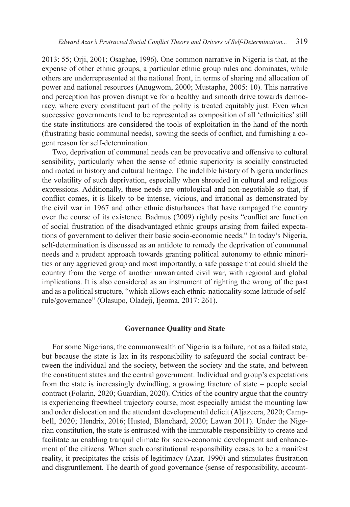2013: 55; Orji, 2001; Osaghae, 1996). One common narrative in Nigeria is that, at the expense of other ethnic groups, a particular ethnic group rules and dominates, while others are underrepresented at the national front, in terms of sharing and allocation of power and national resources (Anugwom, 2000; Mustapha, 2005: 10). This narrative and perception has proven disruptive for a healthy and smooth drive towards democracy, where every constituent part of the polity is treated equitably just. Even when successive governments tend to be represented as composition of all 'ethnicities' still the state institutions are considered the tools of exploitation in the hand of the north (frustrating basic communal needs), sowing the seeds of conflict, and furnishing a cogent reason for self-determination.

Two, deprivation of communal needs can be provocative and offensive to cultural sensibility, particularly when the sense of ethnic superiority is socially constructed and rooted in history and cultural heritage. The indelible history of Nigeria underlines the volatility of such deprivation, especially when shrouded in cultural and religious expressions. Additionally, these needs are ontological and non-negotiable so that, if conflict comes, it is likely to be intense, vicious, and irrational as demonstrated by the civil war in 1967 and other ethnic disturbances that have rampaged the country over the course of its existence. Badmus (2009) rightly posits "conflict are function of social frustration of the disadvantaged ethnic groups arising from failed expectations of government to deliver their basic socio-economic needs." In today's Nigeria, self-determination is discussed as an antidote to remedy the deprivation of communal needs and a prudent approach towards granting political autonomy to ethnic minorities or any aggrieved group and most importantly, a safe passage that could shield the country from the verge of another unwarranted civil war, with regional and global implications. It is also considered as an instrument of righting the wrong of the past and as a political structure, "which allows each ethnic-nationality some latitude of selfrule/governance" (Olasupo, Oladeji, Ijeoma, 2017: 261).

#### **Governance Quality and State**

For some Nigerians, the commonwealth of Nigeria is a failure, not as a failed state, but because the state is lax in its responsibility to safeguard the social contract between the individual and the society, between the society and the state, and between the constituent states and the central government. Individual and group's expectations from the state is increasingly dwindling, a growing fracture of state – people social contract (Folarin, 2020; Guardian, 2020). Critics of the country argue that the country is experiencing freewheel trajectory course, most especially amidst the mounting law and order dislocation and the attendant developmental deficit (Aljazeera, 2020; Campbell, 2020; Hendrix, 2016; Husted, Blanchard, 2020; Lawan 2011). Under the Nigerian constitution, the state is entrusted with the immutable responsibility to create and facilitate an enabling tranquil climate for socio-economic development and enhancement of the citizens. When such constitutional responsibility ceases to be a manifest reality, it precipitates the crisis of legitimacy (Azar, 1990) and stimulates frustration and disgruntlement. The dearth of good governance (sense of responsibility, account-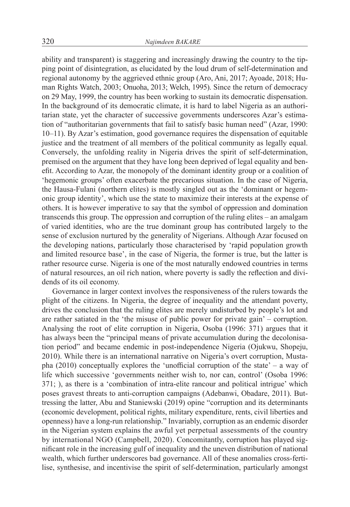ability and transparent) is staggering and increasingly drawing the country to the tipping point of disintegration, as elucidated by the loud drum of self-determination and regional autonomy by the aggrieved ethnic group (Aro, Ani, 2017; Ayoade, 2018; Human Rights Watch, 2003; Onuoha, 2013; Welch, 1995). Since the return of democracy on 29 May, 1999, the country has been working to sustain its democratic dispensation. In the background of its democratic climate, it is hard to label Nigeria as an authoritarian state, yet the character of successive governments underscores Azar's estimation of "authoritarian governments that fail to satisfy basic human need" (Azar, 1990: 10–11). By Azar's estimation, good governance requires the dispensation of equitable justice and the treatment of all members of the political community as legally equal. Conversely, the unfolding reality in Nigeria drives the spirit of self-determination, premised on the argument that they have long been deprived of legal equality and benefit. According to Azar, the monopoly of the dominant identity group or a coalition of 'hegemonic groups' often exacerbate the precarious situation. In the case of Nigeria, the Hausa-Fulani (northern elites) is mostly singled out as the 'dominant or hegemonic group identity', which use the state to maximize their interests at the expense of others. It is however imperative to say that the symbol of oppression and domination transcends this group. The oppression and corruption of the ruling elites – an amalgam of varied identities, who are the true dominant group has contributed largely to the sense of exclusion nurtured by the generality of Nigerians. Although Azar focused on the developing nations, particularly those characterised by 'rapid population growth and limited resource base', in the case of Nigeria, the former is true, but the latter is rather resource curse. Nigeria is one of the most naturally endowed countries in terms of natural resources, an oil rich nation, where poverty is sadly the reflection and dividends of its oil economy.

Governance in larger context involves the responsiveness of the rulers towards the plight of the citizens. In Nigeria, the degree of inequality and the attendant poverty, drives the conclusion that the ruling elites are merely undisturbed by people's lot and are rather satiated in the 'the misuse of public power for private gain' – corruption. Analysing the root of elite corruption in Nigeria, Osoba (1996: 371) argues that it has always been the "principal means of private accumulation during the decolonisation period" and became endemic in post-independence Nigeria (Ojukwu, Shopeju, 2010). While there is an international narrative on Nigeria's overt corruption, Mustapha (2010) conceptually explores the 'unofficial corruption of the state' – a way of life which successive 'governments neither wish to, nor can, control' (Osoba 1996: 371; ), as there is a 'combination of intra-elite rancour and political intrigue' which poses gravest threats to anti-corruption campaigns (Adebanwi, Obadare, 2011). Buttressing the latter, Abu and Staniewski (2019) opine "corruption and its determinants (economic development, political rights, military expenditure, rents, civil liberties and openness) have a long-run relationship." Invariably, corruption as an endemic disorder in the Nigerian system explains the awful yet perpetual assessments of the country by international NGO (Campbell, 2020). Concomitantly, corruption has played significant role in the increasing gulf of inequality and the uneven distribution of national wealth, which further underscores bad governance. All of these anomalies cross-fertilise, synthesise, and incentivise the spirit of self-determination, particularly amongst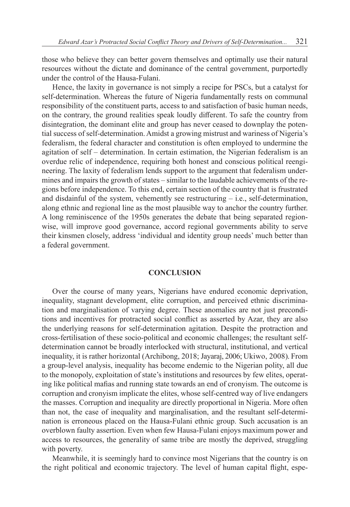those who believe they can better govern themselves and optimally use their natural resources without the dictate and dominance of the central government, purportedly under the control of the Hausa-Fulani.

Hence, the laxity in governance is not simply a recipe for PSCs, but a catalyst for self-determination. Whereas the future of Nigeria fundamentally rests on communal responsibility of the constituent parts, access to and satisfaction of basic human needs, on the contrary, the ground realities speak loudly different. To safe the country from disintegration, the dominant elite and group has never ceased to downplay the potential success of self-determination. Amidst a growing mistrust and wariness of Nigeria's federalism, the federal character and constitution is often employed to undermine the agitation of self – determination. In certain estimation, the Nigerian federalism is an overdue relic of independence, requiring both honest and conscious political reengineering. The laxity of federalism lends support to the argument that federalism undermines and impairs the growth of states – similar to the laudable achievements of the regions before independence. To this end, certain section of the country that is frustrated and disdainful of the system, vehemently see restructuring  $-$  i.e., self-determination, along ethnic and regional line as the most plausible way to anchor the country further. A long reminiscence of the 1950s generates the debate that being separated regionwise, will improve good governance, accord regional governments ability to serve their kinsmen closely, address 'individual and identity group needs' much better than a federal government.

## **CONCLUSION**

Over the course of many years, Nigerians have endured economic deprivation, inequality, stagnant development, elite corruption, and perceived ethnic discrimination and marginalisation of varying degree. These anomalies are not just preconditions and incentives for protracted social conflict as asserted by Azar, they are also the underlying reasons for self-determination agitation. Despite the protraction and cross-fertilisation of these socio-political and economic challenges; the resultant selfdetermination cannot be broadly interlocked with structural, institutional, and vertical inequality, it is rather horizontal (Archibong, 2018; Jayaraj, 2006; Ukiwo, 2008). From a group-level analysis, inequality has become endemic to the Nigerian polity, all due to the monopoly, exploitation of state's institutions and resources by few elites, operating like political mafias and running state towards an end of cronyism. The outcome is corruption and cronyism implicate the elites, whose self-centred way of live endangers the masses. Corruption and inequality are directly proportional in Nigeria. More often than not, the case of inequality and marginalisation, and the resultant self-determination is erroneous placed on the Hausa-Fulani ethnic group. Such accusation is an overblown faulty assertion. Even when few Hausa-Fulani enjoys maximum power and access to resources, the generality of same tribe are mostly the deprived, struggling with poverty.

Meanwhile, it is seemingly hard to convince most Nigerians that the country is on the right political and economic trajectory. The level of human capital flight, espe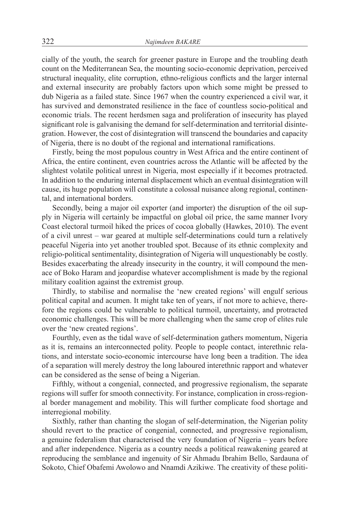cially of the youth, the search for greener pasture in Europe and the troubling death count on the Mediterranean Sea, the mounting socio-economic deprivation, perceived structural inequality, elite corruption, ethno-religious conflicts and the larger internal and external insecurity are probably factors upon which some might be pressed to dub Nigeria as a failed state. Since 1967 when the country experienced a civil war, it has survived and demonstrated resilience in the face of countless socio-political and economic trials. The recent herdsmen saga and proliferation of insecurity has played significant role is galvanising the demand for self-determination and territorial disintegration. However, the cost of disintegration will transcend the boundaries and capacity of Nigeria, there is no doubt of the regional and international ramifications.

Firstly, being the most populous country in West Africa and the entire continent of Africa, the entire continent, even countries across the Atlantic will be affected by the slightest volatile political unrest in Nigeria, most especially if it becomes protracted. In addition to the enduring internal displacement which an eventual disintegration will cause, its huge population will constitute a colossal nuisance along regional, continental, and international borders.

Secondly, being a major oil exporter (and importer) the disruption of the oil supply in Nigeria will certainly be impactful on global oil price, the same manner Ivory Coast electoral turmoil hiked the prices of cocoa globally (Hawkes, 2010). The event of a civil unrest – war geared at multiple self-determinations could turn a relatively peaceful Nigeria into yet another troubled spot. Because of its ethnic complexity and religio-political sentimentality, disintegration of Nigeria will unquestionably be costly. Besides exacerbating the already insecurity in the country, it will compound the menace of Boko Haram and jeopardise whatever accomplishment is made by the regional military coalition against the extremist group.

Thirdly, to stabilise and normalise the 'new created regions' will engulf serious political capital and acumen. It might take ten of years, if not more to achieve, therefore the regions could be vulnerable to political turmoil, uncertainty, and protracted economic challenges. This will be more challenging when the same crop of elites rule over the 'new created regions'.

Fourthly, even as the tidal wave of self-determination gathers momentum, Nigeria as it is, remains an interconnected polity. People to people contact, interethnic relations, and interstate socio-economic intercourse have long been a tradition. The idea of a separation will merely destroy the long laboured interethnic rapport and whatever can be considered as the sense of being a Nigerian.

Fifthly, without a congenial, connected, and progressive regionalism, the separate regions will suffer for smooth connectivity. For instance, complication in cross-regional border management and mobility. This will further complicate food shortage and interregional mobility.

Sixthly, rather than chanting the slogan of self-determination, the Nigerian polity should revert to the practice of congenial, connected, and progressive regionalism, a genuine federalism that characterised the very foundation of Nigeria – years before and after independence. Nigeria as a country needs a political reawakening geared at reproducing the semblance and ingenuity of Sir Ahmadu Ibrahim Bello, Sardauna of Sokoto, Chief Obafemi Awolowo and Nnamdi Azikiwe. The creativity of these politi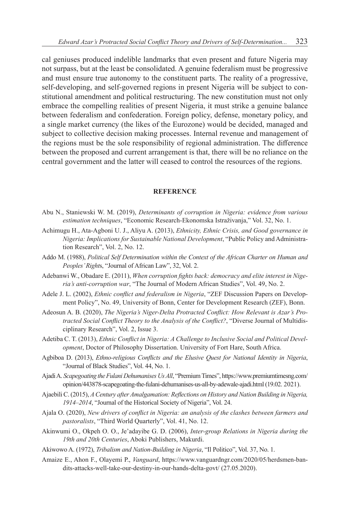cal geniuses produced indelible landmarks that even present and future Nigeria may not surpass, but at the least be consolidated. A genuine federalism must be progressive and must ensure true autonomy to the constituent parts. The reality of a progressive, self-developing, and self-governed regions in present Nigeria will be subject to constitutional amendment and political restructuring. The new constitution must not only embrace the compelling realities of present Nigeria, it must strike a genuine balance between federalism and confederation. Foreign policy, defense, monetary policy, and a single market currency (the likes of the Eurozone) would be decided, managed and subject to collective decision making processes. Internal revenue and management of the regions must be the sole responsibility of regional administration. The difference between the proposed and current arrangement is that, there will be no reliance on the central government and the latter will ceased to control the resources of the regions.

## **REFERENCE**

- Abu N., Staniewski W. M. (2019), *Determinants of corruption in Nigeria: evidence from various estimation techniques*, "Economic Research-Ekonomska Istraživanja," Vol. 32, No. 1.
- Achimugu H., Ata-Agboni U. J., Aliyu A. (2013), *Ethnicity, Ethnic Crisis, and Good governance in Nigeria: Implications for Sustainable National Development*, "Public Policy and Administration Research", Vol. 2, No. 12.
- Addo M. (1988), *Political Self Determination within the Context of the African Charter on Human and Peoples'Right*s, "Journal of African Law", 32, Vol. 2.
- Adebanwi W., Obadare E. (2011), *When corruption fights back: democracy and elite interest in Nigeria's anti-corruption war*, "The Journal of Modern African Studies", Vol. 49, No. 2.
- Adele J. L. (2002), *Ethnic conflict and federalism in Nigeria*, "ZEF Discussion Papers on Development Policy", No. 49, University of Bonn, Center for Development Research (ZEF), Bonn.
- Adeosun A. B. (2020), *The Nigeria's Niger-Delta Protracted Conflict: How Relevant is Azar's Protracted Social Conflict Theory to the Analysis of the Conflict?*, "Diverse Journal of Multidisciplinary Research", Vol. 2, Issue 3.
- Adetiba C. T. (2013), *Ethnic Conflict in Nigeria: A Challenge to Inclusive Social and Political Development*, Doctor of Philosophy Dissertation. University of Fort Hare, South Africa.
- Agbiboa D. (2013), *Ethno-religious Conflicts and the Elusive Quest for National Identity in Nigeria*, "Journal of Black Studies", Vol. 44, No. 1.
- Ajadi A. *Scapegoating theFulani Dehumanises UsAll*, "Premium Times", https://www.premiumtimesng.com/ opinion/443878-scapegoating-the-fulani-dehumanises-us-all-by-adewale-ajadi.html (19.02. 2021).
- Ajaebili C. (2015), *ACentury afterAmalgamation: Reflections on History and Nation Building in Nigeria, 1914–2014*, "Journal of the Historical Society of Nigeria", Vol. 24.
- Ajala O. (2020), *New drivers of conflict in Nigeria: an analysis of the clashes between farmers and pastoralists*, "Third World Quarterly", Vol. 41, No. 12.
- Akinwumi O., Okpeh O. O., Je'adayibe G. D. (2006), *Inter-group Relations in Nigeria during the 19th and 20th Centuries*, Aboki Publishers, Makurdi.
- Akiwowo A. (1972), *Tribalism and Nation-Building in Nigeria*, "Il Politico", Vol. 37, No. 1.
- Amaize E., Ahon F., Olayemi P., *Vanguard*, https://www.vanguardngr.com/2020/05/herdsmen-bandits-attacks-well-take-our-destiny-in-our-hands-delta-govt/ (27.05.2020).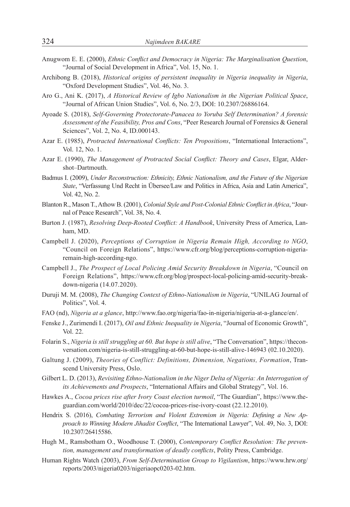- Anugwom E. E. (2000), *Ethnic Conflict and Democracy in Nigeria: The Marginalisation Question*, "Journal of Social Development in Africa", Vol. 15, No. 1.
- Archibong B. (2018), *Historical origins of persistent inequality in Nigeria inequality in Nigeria*, "Oxford Development Studies", Vol. 46, No. 3.
- Aro G., Ani K. (2017), *A Historical Review of Igbo Nationalism in the Nigerian Political Space*, "Journal of African Union Studies", Vol. 6, No. 2/3, DOI: 10.2307/26886164.
- Ayoade S. (2018), *Self-Governing Protectorate-Panacea to Yoruba Self Determination? A forensic Assessment of the Feasibility, Pros and Cons*, "Peer Research Journal of Forensics & General Sciences", Vol. 2, No. 4, ID.000143.
- Azar E. (1985), *Protracted International Conflicts: Ten Propositions*, "International Interactions", Vol. 12, No. 1.
- Azar E. (1990), *The Management of Protracted Social Conflict: Theory and Cases*, Elgar, Aldershot–Dartmouth.
- Badmus I. (2009), *Under Reconstruction: Ethnicity, Ethnic Nationalism, and the Future of the Nigerian State*, "Verfassung Und Recht in Übersee/Law and Politics in Africa, Asia and Latin America", Vol. 42, No. 2.
- Blanton R., Mason T., Athow B. (2001), *Colonial Style and Post-Colonial Ethnic Conflict in Africa*, "Journal of Peace Research", Vol. 38, No. 4.
- Burton J. (1987), *Resolving Deep-Rooted Conflict: A Handbook*, University Press of America, Lanham, MD.
- Campbell J. (2020), *Perceptions of Corruption in Nigeria Remain High, According to NGO*, "Council on Foreign Relations", https://www.cfr.org/blog/perceptions-corruption-nigeriaremain-high-according-ngo.
- Campbell J., *The Prospect of Local Policing Amid Security Breakdown in Nigeria*, "Council on Foreign Relations", https://www.cfr.org/blog/prospect-local-policing-amid-security-breakdown-nigeria (14.07.2020).
- Duruji M. M. (2008), *The Changing Context of Ethno-Nationalism in Nigeria*, "UNILAG Journal of Politics", Vol. 4.
- FAO (nd), *Nigeria at a glance*, http://www.fao.org/nigeria/fao-in-nigeria/nigeria-at-a-glance/en/.
- Fenske J., Zurimendi I. (2017), *Oil and Ethnic Inequality in Nigeria*, "Journal of Economic Growth", Vol. 22.
- Folarin S., *Nigeria is still struggling at 60. But hope is still alive*, "The Conversation", https://theconversation.com/nigeria-is-still-struggling-at-60-but-hope-is-still-alive-146943 (02.10.2020).
- Galtung J. (2009), *Theories of Conflict: Definitions, Dimension, Negations, Formation*, Transcend University Press, Oslo.
- Gilbert L. D. (2013), *Revisiting Ethno-Nationalism in the Niger Delta of Nigeria: An Interrogation of its Achievements and Prospects*, "International Affairs and Global Strategy", Vol. 16.
- Hawkes A., *Cocoa prices rise after Ivory Coast election turmoil*, "The Guardian", https://www.theguardian.com/world/2010/dec/22/cocoa-prices-rise-ivory-coast (22.12.2010).
- Hendrix S. (2016), *Combating Terrorism and Violent Extremism in Nigeria: Defining a New Approach to Winning Modern Jihadist Conflict*, "The International Lawyer", Vol. 49, No. 3, DOI: 10.2307/26415586.
- Hugh M., Ramsbotham O., Woodhouse T. (2000), *Contemporary Conflict Resolution: The prevention, management and transformation of deadly conflicts*, Polity Press, Cambridge.
- Human Rights Watch (2003), *From Self-Determination Group to Vigilantism*, https://www.hrw.org/ reports/2003/nigeria0203/nigeriaopc0203-02.htm.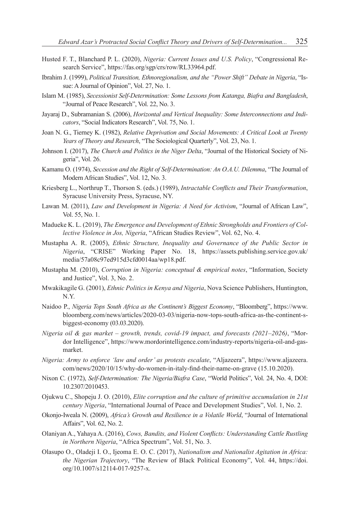- Husted F. T., Blanchard P. L. (2020), *Nigeria: Current Issues and U.S. Policy*, "Congressional Research Service", https://fas.org/sgp/crs/row/RL33964.pdf.
- Ibrahim J. (1999), *Political Transition, Ethnoregionalism, and the "Power Shift" Debate in Nigeria*, "Issue: A Journal of Opinion", Vol. 27, No. 1.
- Islam M. (1985), *Secessionist Self-Determination: Some Lessons from Katanga, Biafra and Bangladesh*, "Journal of Peace Research", Vol. 22, No. 3.
- Jayaraj D., Subramanian S. (2006), *Horizontal and Vertical Inequality: Some Interconnections and Indicators*, "Social Indicators Research", Vol. 75, No. 1.
- Joan N. G., Tierney K. (1982), *Relative Deprivation and Social Movements: A Critical Look at Twenty Years of Theory and Research*, "The Sociological Quarterly", Vol. 23, No. 1.
- Johnson I. (2017), *The Church and Politics in the Niger Delta*, "Journal of the Historical Society of Nigeria", Vol. 26.
- Kamanu O. (1974), *Secession and the Right of Self-Determination: An O.A.U. Dilemma*, "The Journal of Modern African Studies", Vol. 12, No. 3.
- Kriesberg L., Northrup T., Thorson S. (eds.) (1989), *Intractable Conflicts and Their Transformation*, Syracuse University Press, Syracuse, NY.
- Lawan M. (2011), *Law and Development in Nigeria: A Need for Activism*, "Journal of African Law", Vol. 55, No. 1.
- Madueke K. L. (2019), *The Emergence and Development of Ethnic Strongholds and Frontiers of Collective Violence in Jos, Nigeria*, "African Studies Review", Vol. 62, No. 4.
- Mustapha A. R. (2005), *Ethnic Structure, Inequality and Governance of the Public Sector in Nigeria*, "CRISE" Working Paper No. 18, https://assets.publishing.service.gov.uk/ media/57a08c97ed915d3cfd0014aa/wp18.pdf.
- Mustapha M. (2010), *Corruption in Nigeria: conceptual & empirical notes*, "Information, Society and Justice", Vol. 3, No. 2.
- Mwakikagile G. (2001), *Ethnic Politics in Kenya and Nigeria*, Nova Science Publishers, Huntington, N.Y.
- Naidoo P., *Nigeria Tops South Africa as the Continent's Biggest Economy*, "Bloomberg", https://www. bloomberg.com/news/articles/2020-03-03/nigeria-now-tops-south-africa-as-the-continent-sbiggest-economy (03.03.2020).
- *Nigeria oil & gas market – growth, trends, covid-19 impact, and forecasts (2021–2026)*, "Mordor Intelligence", https://www.mordorintelligence.com/industry-reports/nigeria-oil-and-gasmarket.
- *Nigeria: Army to enforce 'law and order' as protests escalate*, "Aljazeera", https://www.aljazeera. com/news/2020/10/15/why-do-women-in-italy-find-their-name-on-grave (15.10.2020).
- Nixon C. (1972), *Self-Determination: The Nigeria/Biafra Case*, "World Politics", Vol. 24, No. 4, DOI: 10.2307/2010453.
- Ojukwu C., Shopeju J. O. (2010), *Elite corruption and the culture of primitive accumulation in 21st century Nigeria*, "International Journal of Peace and Development Studies", Vol. 1, No. 2.
- Okonjo-Iweala N. (2009), *Africa's Growth and Resilience in a Volatile World*, "Journal of International Affairs", Vol. 62, No. 2.
- Olaniyan A., Yahaya A. (2016), *Cows, Bandits, and Violent Conflicts: Understanding Cattle Rustling in Northern Nigeria*, "Africa Spectrum", Vol. 51, No. 3.
- Olasupo O., Oladeji I. O., Ijeoma E. O. C. (2017), *Nationalism and Nationalist Agitation in Africa: the Nigerian Trajectory*, "The Review of Black Political Economy", Vol. 44, https://doi. org/10.1007/s12114-017-9257-x.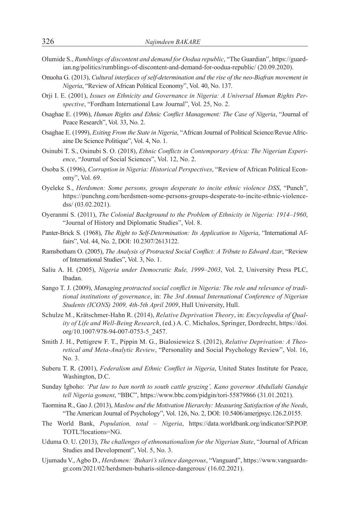- Olumide S., *Rumblings of discontent and demand for Oodua republic*, "The Guardian", https://guardian.ng/politics/rumblings-of-discontent-and-demand-for-oodua-republic/ (20.09.2020).
- Onuoha G. (2013), *Cultural interfaces of self-determination and the rise of the neo-Biafran movement in Nigeria*, "Review of African Political Economy", Vol. 40, No. 137.
- Orji I. E. (2001), *Issues on Ethnicity and Governance in Nigeria: A Universal Human Rights Perspective*, "Fordham International Law Journal", Vol. 25, No. 2.
- Osaghae E. (1996), *Human Rights and Ethnic Conflict Management: The Case of Nigeria*, "Journal of Peace Research", Vol. 33, No. 2.
- Osaghae E. (1999), *Exiting From the State in Nigeria*, "African Journal of Political Science/Revue Africaine De Science Politique", Vol. 4, No. 1.
- Osinubi T. S., Osinubi S. O. (2018), *Ethnic Conflicts in Contemporary Africa: The Nigerian Experience*, "Journal of Social Sciences", Vol. 12, No. 2.
- Osoba S. (1996), *Corruption in Nigeria: Historical Perspectives*, "Review of African Political Economy", Vol. 69.
- Oyeleke S., *Herdsmen: Some persons, groups desperate to incite ethnic violence DSS*, "Punch", https://punchng.com/herdsmen-some-persons-groups-desperate-to-incite-ethnic-violencedss/ (03.02.2021).
- Oyeranmi S. (2011), *The Colonial Background to the Problem of Ethnicity in Nigeria: 1914–1960*, "Journal of History and Diplomatic Studies", Vol. 8.
- Panter-Brick S. (1968), *The Right to Self-Determination: Its Application to Nigeria*, "International Affairs", Vol. 44, No. 2, DOI: 10.2307/2613122.
- Ramsbotham O. (2005), *The Analysis of Protracted Social Conflict: A Tribute to Edward Azar*, "Review of International Studies", Vol. 3, No. 1.
- Saliu A. H. (2005), *Nigeria under Democratic Rule, 1999–2003*, Vol. 2, University Press PLC, Ibadan.
- Sango T. J. (2009), *Managing protracted social conflict in Nigeria: The role and relevance of traditional institutions of governance*, in: *The 3rd Annual International Conference of Nigerian Students (ICONS) 2009, 4th-5th April 2009*, Hull University, Hull.
- Schulze M., Krätschmer-Hahn R. (2014), *Relative Deprivation Theory*, in: *Encyclopedia of Quality of Life and Well-Being Research*, (ed.) A. C. Michalos, Springer, Dordrecht, https://doi. org/10.1007/978-94-007-0753-5\_2457.
- Smith J. H., Pettigrew F. T., Pippin M. G., Bialosiewicz S. (2012), *Relative Deprivation: A Theoretical and Meta-Analytic Review*, "Personality and Social Psychology Review", Vol. 16, No. 3.
- Suberu T. R. (2001), *Federalism and Ethnic Conflict in Nigeria*, United States Institute for Peace, Washington, D.C.
- Sunday Igboho: *'Put law to ban north to south cattle grazing', Kano governor Abdullahi Ganduje tell Nigeria goment*, "BBC", https://www.bbc.com/pidgin/tori-55879866 (31.01.2021).
- Taormina R., Gao J. (2013), *Maslow and the Motivation Hierarchy: Measuring Satisfaction of the Needs*, "The American Journal of Psychology", Vol. 126, No. 2, DOI: 10.5406/amerjpsyc.126.2.0155.
- The World Bank, *Population, total – Nigeria*, https://data.worldbank.org/indicator/SP.POP. TOTL?locations=NG.
- Uduma O. U. (2013), *The challenges of ethnonationalism for the Nigerian State*, "Journal of African Studies and Development", Vol. 5, No. 3.
- Ujumadu V., Agbo D., *Herdsmen: 'Buhari's silence dangerous*, "Vanguard", https://www.vanguardngr.com/2021/02/herdsmen-buharis-silence-dangerous/ (16.02.2021).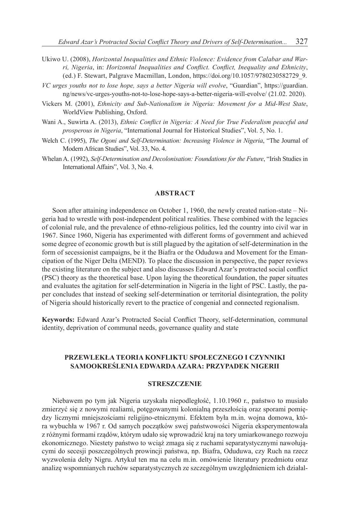- Ukiwo U. (2008), *Horizontal Inequalities and Ethnic Violence: Evidence from Calabar and Warri, Nigeria*, in: *Horizontal Inequalities and Conflict. Conflict, Inequality and Ethnicity*, (ed.) F. Stewart, Palgrave Macmillan, London, https://doi.org/10.1057/9780230582729\_9.
- *VC urges youths not to lose hope, says a better Nigeria will evolve*, "Guardian", https://guardian. ng/news/vc-urges-youths-not-to-lose-hope-says-a-better-nigeria-will-evolve/ (21.02. 2020).
- Vickers M. (2001), *Ethnicity and Sub-Nationalism in Nigeria: Movement for a Mid-West State*, WorldView Publishing, Oxford.
- Wani A., Suwirta A. (2013), *Ethnic Conflict in Nigeria: A Need for True Federalism peaceful and prosperous in Nigeria*, "International Journal for Historical Studies", Vol. 5, No. 1.
- Welch C. (1995), *The Ogoni and Self-Determination: Increasing Violence in Nigeria*, "The Journal of Modern African Studies", Vol. 33, No. 4.
- Whelan A. (1992), *Self-Determination and Decolonisation: Foundations for the Future*, "Irish Studies in International Affairs", Vol. 3, No. 4.

# **ABSTRACT**

Soon after attaining independence on October 1, 1960, the newly created nation-state – Nigeria had to wrestle with post-independent political realities. These combined with the legacies of colonial rule, and the prevalence of ethno-religious politics, led the country into civil war in 1967. Since 1960, Nigeria has experimented with different forms of government and achieved some degree of economic growth but is still plagued by the agitation of self-determination in the form of secessionist campaigns, be it the Biafra or the Oduduwa and Movement for the Emancipation of the Niger Delta (MEND). To place the discussion in perspective, the paper reviews the existing literature on the subject and also discusses Edward Azar's protracted social conflict (PSC) theory as the theoretical base. Upon laying the theoretical foundation, the paper situates and evaluates the agitation for self-determination in Nigeria in the light of PSC. Lastly, the paper concludes that instead of seeking self-determination or territorial disintegration, the polity of Nigeria should historically revert to the practice of congenial and connected regionalism.

**Keywords:** Edward Azar's Protracted Social Conflict Theory, self-determination, communal identity, deprivation of communal needs, governance quality and state

# **PRZEWLEKŁA TEORIA KONFLIKTU SPOŁECZNEGO I CZYNNIKI SAMOOKREŚLENIA EDWARDA AZARA: PRZYPADEK NIGERII**

#### **STRESZCZENIE**

Niebawem po tym jak Nigeria uzyskała niepodległość, 1.10.1960 r., państwo to musiało zmierzyć się z nowymi realiami, potęgowanymi kolonialną przeszłością oraz sporami pomiędzy licznymi mniejszościami religijno-etnicznymi. Efektem była m.in. wojna domowa, która wybuchła w 1967 r. Od samych początków swej państwowości Nigeria eksperymentowała z różnymi formami rządów, którym udało się wprowadzić kraj na tory umiarkowanego rozwoju ekonomicznego. Niestety państwo to wciąż zmaga się z ruchami separatystycznymi nawołującymi do secesji poszczególnych prowincji państwa, np. Biafra, Oduduwa, czy Ruch na rzecz wyzwolenia delty Nigru. Artykuł ten ma na celu m.in. omówienie literatury przedmiotu oraz analizę wspomnianych ruchów separatystycznych ze szczególnym uwzględnieniem ich działal